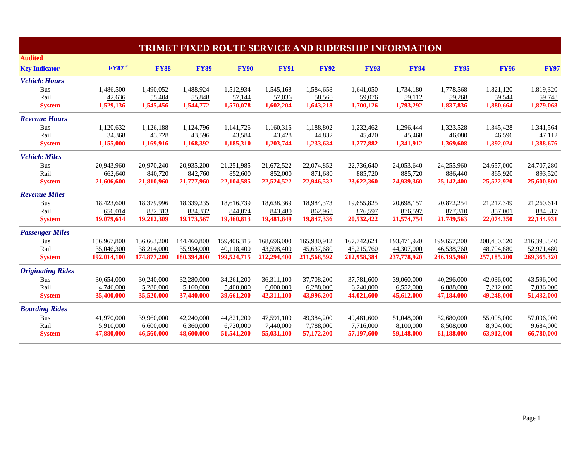|                          |                          |             |             |             |             |             | <b>TRIMET FIXED ROUTE SERVICE AND RIDERSHIP INFORMATION</b> |             |             |             |             |
|--------------------------|--------------------------|-------------|-------------|-------------|-------------|-------------|-------------------------------------------------------------|-------------|-------------|-------------|-------------|
| <b>Audited</b>           |                          |             |             |             |             |             |                                                             |             |             |             |             |
| <b>Key Indicator</b>     | <b>FY87</b> <sup>5</sup> | <b>FY88</b> | <b>FY89</b> | <b>FY90</b> | <b>FY91</b> | <b>FY92</b> | <b>FY93</b>                                                 | <b>FY94</b> | <b>FY95</b> | <b>FY96</b> | <b>FY97</b> |
| <b>Vehicle Hours</b>     |                          |             |             |             |             |             |                                                             |             |             |             |             |
| Bus                      | 1,486,500                | 1,490,052   | 1,488,924   | 1,512,934   | 1,545,168   | 1,584,658   | 1,641,050                                                   | 1,734,180   | 1,778,568   | 1,821,120   | 1,819,320   |
| Rail                     | 42,636                   | 55,404      | 55,848      | 57,144      | 57,036      | 58,560      | 59,076                                                      | 59,112      | 59,268      | 59,544      | 59,748      |
| <b>System</b>            | 1,529,136                | 1,545,456   | 1,544,772   | 1,570,078   | 1,602,204   | 1,643,218   | 1,700,126                                                   | 1,793,292   | 1,837,836   | 1,880,664   | 1,879,068   |
| <b>Revenue Hours</b>     |                          |             |             |             |             |             |                                                             |             |             |             |             |
| <b>Bus</b>               | 1,120,632                | 1,126,188   | 1,124,796   | 1,141,726   | 1,160,316   | 1,188,802   | 1,232,462                                                   | 1,296,444   | 1,323,528   | 1,345,428   | 1,341,564   |
| Rail                     | 34,368                   | 43,728      | 43,596      | 43,584      | 43,428      | 44,832      | 45,420                                                      | 45,468      | 46,080      | 46,596      | 47,112      |
| <b>System</b>            | 1,155,000                | 1,169,916   | 1,168,392   | 1,185,310   | 1,203,744   | 1,233,634   | 1,277,882                                                   | 1,341,912   | 1,369,608   | 1,392,024   | 1,388,676   |
| <b>Vehicle Miles</b>     |                          |             |             |             |             |             |                                                             |             |             |             |             |
| <b>Bus</b>               | 20,943,960               | 20,970,240  | 20,935,200  | 21,251,985  | 21,672,522  | 22,074,852  | 22,736,640                                                  | 24,053,640  | 24,255,960  | 24,657,000  | 24,707,280  |
| Rail                     | 662,640                  | 840,720     | 842,760     | 852,600     | 852,000     | 871,680     | 885,720                                                     | 885,720     | 886,440     | 865,920     | 893,520     |
| <b>System</b>            | 21,606,600               | 21,810,960  | 21,777,960  | 22,104,585  | 22,524,522  | 22,946,532  | 23,622,360                                                  | 24,939,360  | 25,142,400  | 25,522,920  | 25,600,800  |
| <b>Revenue Miles</b>     |                          |             |             |             |             |             |                                                             |             |             |             |             |
| Bus                      | 18,423,600               | 18,379,996  | 18,339,235  | 18,616,739  | 18,638,369  | 18,984,373  | 19.655.825                                                  | 20,698,157  | 20,872,254  | 21,217,349  | 21,260,614  |
| Rail                     | 656,014                  | 832,313     | 834,332     | 844,074     | 843,480     | 862,963     | 876,597                                                     | 876,597     | 877,310     | 857,001     | 884,317     |
| <b>System</b>            | 19,079,614               | 19,212,309  | 19,173,567  | 19,460,813  | 19,481,849  | 19,847,336  | 20,532,422                                                  | 21,574,754  | 21,749,563  | 22,074,350  | 22,144,931  |
| <b>Passenger Miles</b>   |                          |             |             |             |             |             |                                                             |             |             |             |             |
| <b>Bus</b>               | 156,967,800              | 136,663,200 | 144,460,800 | 159,406,315 | 168,696,000 | 165,930,912 | 167,742,624                                                 | 193,471,920 | 199,657,200 | 208,480,320 | 216,393,840 |
| Rail                     | 35,046,300               | 38,214,000  | 35,934,000  | 40,118,400  | 43,598,400  | 45,637,680  | 45,215,760                                                  | 44,307,000  | 46,538,760  | 48,704,880  | 52,971,480  |
| <b>System</b>            | 192,014,100              | 174,877,200 | 180,394,800 | 199,524,715 | 212,294,400 | 211,568,592 | 212,958,384                                                 | 237,778,920 | 246,195,960 | 257,185,200 | 269,365,320 |
| <b>Originating Rides</b> |                          |             |             |             |             |             |                                                             |             |             |             |             |
| <b>Bus</b>               | 30,654,000               | 30,240,000  | 32,280,000  | 34,261,200  | 36.311.100  | 37,708,200  | 37,781,600                                                  | 39,060,000  | 40,296,000  | 42,036,000  | 43,596,000  |
| Rail                     | 4,746,000                | 5,280,000   | 5,160,000   | 5,400,000   | 6,000,000   | 6,288,000   | 6,240,000                                                   | 6,552,000   | 6,888,000   | 7,212,000   | 7,836,000   |
| <b>System</b>            | 35,400,000               | 35,520,000  | 37,440,000  | 39,661,200  | 42,311,100  | 43,996,200  | 44,021,600                                                  | 45,612,000  | 47,184,000  | 49,248,000  | 51,432,000  |
| <b>Boarding Rides</b>    |                          |             |             |             |             |             |                                                             |             |             |             |             |
| <b>Bus</b>               | 41,970,000               | 39,960,000  | 42,240,000  | 44,821,200  | 47,591,100  | 49,384,200  | 49,481,600                                                  | 51,048,000  | 52,680,000  | 55,008,000  | 57,096,000  |
| Rail                     | 5,910,000                | 6,600,000   | 6,360,000   | 6,720,000   | 7,440,000   | 7,788,000   | 7,716,000                                                   | 8,100,000   | 8,508,000   | 8,904,000   | 9,684,000   |
| <b>System</b>            | 47,880,000               | 46,560,000  | 48,600,000  | 51,541,200  | 55,031,100  | 57,172,200  | 57,197,600                                                  | 59,148,000  | 61,188,000  | 63,912,000  | 66,780,000  |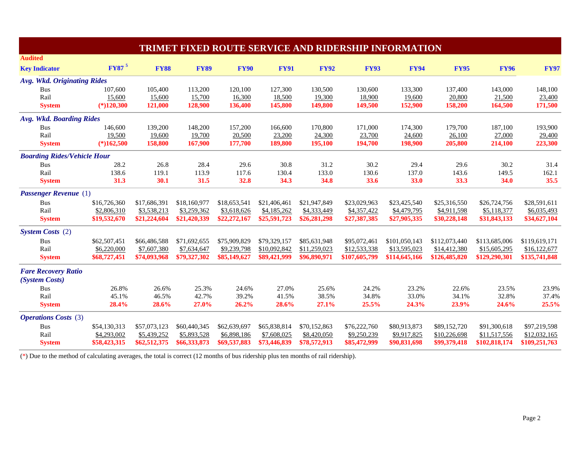| <b>TRIMET FIXED ROUTE SERVICE AND RIDERSHIP INFORMATION</b> |                          |              |              |              |              |              |               |               |               |               |               |
|-------------------------------------------------------------|--------------------------|--------------|--------------|--------------|--------------|--------------|---------------|---------------|---------------|---------------|---------------|
| <b>Audited</b>                                              |                          |              |              |              |              |              |               |               |               |               |               |
| <b>Key Indicator</b>                                        | <b>FY87</b> <sup>5</sup> | <b>FY88</b>  | <b>FY89</b>  | <b>FY90</b>  | <b>FY91</b>  | <b>FY92</b>  | <b>FY93</b>   | <b>FY94</b>   | <b>FY95</b>   | <b>FY96</b>   | <b>FY97</b>   |
| <b>Avg. Wkd. Originating Rides</b>                          |                          |              |              |              |              |              |               |               |               |               |               |
| <b>Bus</b>                                                  | 107,600                  | 105,400      | 113,200      | 120,100      | 127,300      | 130,500      | 130,600       | 133,300       | 137,400       | 143,000       | 148,100       |
| Rail                                                        | 15,600                   | 15,600       | 15,700       | 16,300       | 18,500       | 19,300       | 18,900        | 19,600        | 20,800        | 21,500        | 23,400        |
| <b>System</b>                                               | $(*)120,300$             | 121,000      | 128,900      | 136,400      | 145,800      | 149,800      | 149,500       | 152,900       | 158,200       | 164,500       | 171,500       |
| Avg. Wkd. Boarding Rides                                    |                          |              |              |              |              |              |               |               |               |               |               |
| <b>Bus</b>                                                  | 146,600                  | 139,200      | 148,200      | 157,200      | 166,600      | 170,800      | 171,000       | 174,300       | 179,700       | 187,100       | 193,900       |
| Rail                                                        | 19,500                   | 19,600       | 19,700       | 20,500       | 23,200       | 24,300       | 23,700        | 24,600        | 26,100        | 27,000        | 29,400        |
| <b>System</b>                                               | $(*)162,500$             | 158,800      | 167,900      | 177,700      | 189,800      | 195,100      | 194,700       | 198,900       | 205,800       | 214,100       | 223,300       |
| <b>Boarding Rides/Vehicle Hour</b>                          |                          |              |              |              |              |              |               |               |               |               |               |
| <b>Bus</b>                                                  | 28.2                     | 26.8         | 28.4         | 29.6         | 30.8         | 31.2         | 30.2          | 29.4          | 29.6          | 30.2          | 31.4          |
| Rail                                                        | 138.6                    | 119.1        | 113.9        | 117.6        | 130.4        | 133.0        | 130.6         | 137.0         | 143.6         | 149.5         | 162.1         |
| <b>System</b>                                               | 31.3                     | 30.1         | 31.5         | 32.8         | 34.3         | 34.8         | 33.6          | 33.0          | 33.3          | 34.0          | 35.5          |
| <b>Passenger Revenue</b> (1)                                |                          |              |              |              |              |              |               |               |               |               |               |
| <b>Bus</b>                                                  | \$16,726,360             | \$17,686,391 | \$18,160,977 | \$18,653,541 | \$21,406,461 | \$21,947,849 | \$23,029,963  | \$23,425,540  | \$25,316,550  | \$26,724,756  | \$28,591,611  |
| Rail                                                        | \$2,806,310              | \$3,538,213  | \$3,259,362  | \$3,618,626  | \$4,185,262  | \$4,333,449  | \$4,357,422   | \$4,479,795   | \$4,911,598   | \$5,118,377   | \$6,035,493   |
| <b>System</b>                                               | \$19,532,670             | \$21,224,604 | \$21,420,339 | \$22,272,167 | \$25,591,723 | \$26,281,298 | \$27,387,385  | \$27,905,335  | \$30,228,148  | \$31,843,133  | \$34,627,104  |
| <b>System Costs</b> (2)                                     |                          |              |              |              |              |              |               |               |               |               |               |
| <b>Bus</b>                                                  | \$62,507,451             | \$66,486,588 | \$71,692,655 | \$75,909,829 | \$79,329,157 | \$85,631,948 | \$95,072,461  | \$101,050,143 | \$112,073,440 | \$113,685,006 | \$119,619,171 |
| Rail                                                        | \$6,220,000              | \$7,607,380  | \$7,634,647  | \$9,239,798  | \$10,092,842 | \$11,259,023 | \$12,533,338  | \$13,595,023  | \$14,412,380  | \$15,605,295  | \$16,122,677  |
| <b>System</b>                                               | \$68,727,451             | \$74,093,968 | \$79,327,302 | \$85,149,627 | \$89,421,999 | \$96,890,971 | \$107,605,799 | \$114,645,166 | \$126,485,820 | \$129,290,301 | \$135,741,848 |
| <b>Fare Recovery Ratio</b>                                  |                          |              |              |              |              |              |               |               |               |               |               |
| (System Costs)                                              |                          |              |              |              |              |              |               |               |               |               |               |
| <b>Bus</b>                                                  | 26.8%                    | 26.6%        | 25.3%        | 24.6%        | 27.0%        | 25.6%        | 24.2%         | 23.2%         | 22.6%         | 23.5%         | 23.9%         |
| Rail                                                        | 45.1%                    | 46.5%        | 42.7%        | 39.2%        | 41.5%        | 38.5%        | 34.8%         | 33.0%         | 34.1%         | 32.8%         | 37.4%         |
| <b>System</b>                                               | 28.4%                    | 28.6%        | 27.0%        | 26.2%        | 28.6%        | 27.1%        | 25.5%         | 24.3%         | 23.9%         | 24.6%         | 25.5%         |
| <b>Operations Costs</b> (3)                                 |                          |              |              |              |              |              |               |               |               |               |               |
| <b>Bus</b>                                                  | \$54,130,313             | \$57,073,123 | \$60,440,345 | \$62,639,697 | \$65,838,814 | \$70,152,863 | \$76,222,760  | \$80,913,873  | \$89,152,720  | \$91,300,618  | \$97,219,598  |
| Rail                                                        | \$4,293,002              | \$5,439,252  | \$5,893,528  | \$6,898,186  | \$7,608,025  | \$8,420,050  | \$9,250,239   | \$9,917,825   | \$10,226,698  | \$11,517,556  | \$12,032,165  |
| <b>System</b>                                               | \$58,423,315             | \$62,512,375 | \$66,333,873 | \$69,537,883 | \$73,446,839 | \$78,572,913 | \$85,472,999  | \$90,831,698  | \$99,379,418  | \$102,818,174 | \$109,251,763 |

(\*) Due to the method of calculating averages, the total is correct (12 months of bus ridership plus ten months of rail ridership).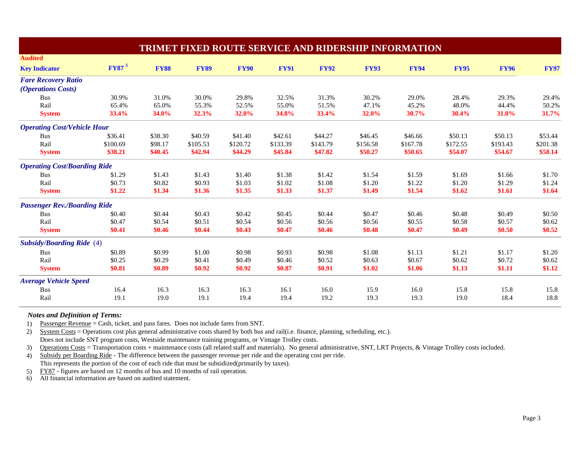| <b>TRIMET FIXED ROUTE SERVICE AND RIDERSHIP INFORMATION</b> |                   |             |             |             |             |             |             |             |             |             |             |
|-------------------------------------------------------------|-------------------|-------------|-------------|-------------|-------------|-------------|-------------|-------------|-------------|-------------|-------------|
| <b>Audited</b>                                              |                   |             |             |             |             |             |             |             |             |             |             |
| <b>Key Indicator</b>                                        | FY87 <sup>5</sup> | <b>FY88</b> | <b>FY89</b> | <b>FY90</b> | <b>FY91</b> | <b>FY92</b> | <b>FY93</b> | <b>FY94</b> | <b>FY95</b> | <b>FY96</b> | <b>FY97</b> |
| <b>Fare Recovery Ratio</b>                                  |                   |             |             |             |             |             |             |             |             |             |             |
| <i>(Operations Costs)</i>                                   |                   |             |             |             |             |             |             |             |             |             |             |
| <b>Bus</b>                                                  | 30.9%             | 31.0%       | 30.0%       | 29.8%       | 32.5%       | 31.3%       | 30.2%       | 29.0%       | 28.4%       | 29.3%       | 29.4%       |
| Rail                                                        | 65.4%             | 65.0%       | 55.3%       | 52.5%       | 55.0%       | 51.5%       | 47.1%       | 45.2%       | 48.0%       | 44.4%       | 50.2%       |
| <b>System</b>                                               | 33.4%             | 34.0%       | 32.3%       | 32.0%       | 34.8%       | 33.4%       | 32.0%       | 30.7%       | 30.4%       | 31.0%       | 31.7%       |
| <b>Operating Cost/Vehicle Hour</b>                          |                   |             |             |             |             |             |             |             |             |             |             |
| <b>Bus</b>                                                  | \$36.41           | \$38.30     | \$40.59     | \$41.40     | \$42.61     | \$44.27     | \$46.45     | \$46.66     | \$50.13     | \$50.13     | \$53.44     |
| Rail                                                        | \$100.69          | \$98.17     | \$105.53    | \$120.72    | \$133.39    | \$143.79    | \$156.58    | \$167.78    | \$172.55    | \$193.43    | \$201.38    |
| <b>System</b>                                               | \$38.21           | \$40.45     | \$42.94     | \$44.29     | \$45.84     | \$47.82     | \$50.27     | \$50.65     | \$54.07     | \$54.67     | \$58.14     |
| <b>Operating Cost/Boarding Ride</b>                         |                   |             |             |             |             |             |             |             |             |             |             |
| <b>Bus</b>                                                  | \$1.29            | \$1.43      | \$1.43      | \$1.40      | \$1.38      | \$1.42      | \$1.54      | \$1.59      | \$1.69      | \$1.66      | \$1.70      |
| Rail                                                        | \$0.73            | \$0.82      | \$0.93      | \$1.03      | \$1.02      | \$1.08      | \$1.20      | \$1.22      | \$1.20      | \$1.29      | \$1.24      |
| <b>System</b>                                               | \$1.22            | \$1.34      | \$1.36      | \$1.35      | \$1.33      | \$1.37      | \$1.49      | \$1.54      | \$1.62      | \$1.61      | \$1.64      |
| <b>Passenger Rev./Boarding Ride</b>                         |                   |             |             |             |             |             |             |             |             |             |             |
| <b>Bus</b>                                                  | \$0.40            | \$0.44      | \$0.43      | \$0.42      | \$0.45      | \$0.44      | \$0.47      | \$0.46      | \$0.48      | \$0.49      | \$0.50      |
| Rail                                                        | \$0.47            | \$0.54      | \$0.51      | \$0.54      | \$0.56      | \$0.56      | \$0.56      | \$0.55      | \$0.58      | \$0.57      | \$0.62      |
| <b>System</b>                                               | \$0.41            | \$0.46      | \$0.44      | \$0.43      | \$0.47      | \$0.46      | \$0.48      | \$0.47      | \$0.49      | \$0.50      | \$0.52      |
| <b>Subsidy/Boarding Ride</b> (4)                            |                   |             |             |             |             |             |             |             |             |             |             |
| <b>Bus</b>                                                  | \$0.89            | \$0.99      | \$1.00      | \$0.98      | \$0.93      | \$0.98      | \$1.08      | \$1.13      | \$1.21      | \$1.17      | \$1.20      |
| Rail                                                        | \$0.25            | \$0.29      | \$0.41      | \$0.49      | \$0.46      | \$0.52      | \$0.63      | \$0.67      | \$0.62      | \$0.72      | \$0.62      |
| <b>System</b>                                               | \$0.81            | \$0.89      | \$0.92      | \$0.92      | \$0.87      | \$0.91      | \$1.02      | \$1.06      | \$1.13      | \$1.11      | \$1.12      |
| <b>Average Vehicle Speed</b>                                |                   |             |             |             |             |             |             |             |             |             |             |
| <b>Bus</b>                                                  | 16.4              | 16.3        | 16.3        | 16.3        | 16.1        | 16.0        | 15.9        | 16.0        | 15.8        | 15.8        | 15.8        |
| Rail                                                        | 19.1              | 19.0        | 19.1        | 19.4        | 19.4        | 19.2        | 19.3        | 19.3        | 19.0        | 18.4        | 18.8        |

## *Notes an d Defi nition of Terms:*

1) Passenger Revenue = Cash, ticket, and pass fares. Does not include fares from SNT.

2) System Costs = Operations cost plus general administrative costs shared by both bus and rail(i.e. finance, planning, scheduling, etc.).

Does not include SNT program costs, Westside maintenance training programs, or Vintage Trolley costs.

3) Operations Costs = Transportation costs + maintenance costs (all related staff and materials). No general administrative, SNT, LRT Projects, & Vintage Trolley costs included.

4) Subsidy per Boarding Ride - The difference between the passenger revenue per ride and the operating cost per ride. This represents the portion of the cost of each ride that must be subsidized(primarily by taxes).

5) FY87 - figures are based on 12 months of bus and 10 months of rail operation.

6) All financial information are based on audited statement.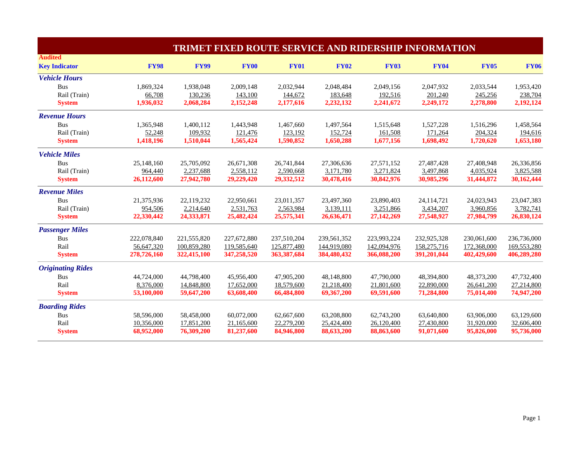| <b>TRIMET FIXED ROUTE SERVICE AND RIDERSHIP INFORMATION</b> |             |             |             |             |             |             |             |             |             |
|-------------------------------------------------------------|-------------|-------------|-------------|-------------|-------------|-------------|-------------|-------------|-------------|
| <b>Audited</b>                                              |             |             |             |             |             |             |             |             |             |
| <b>Key Indicator</b>                                        | <b>FY98</b> | <b>FY99</b> | <b>FY00</b> | <b>FY01</b> | <b>FY02</b> | <b>FY03</b> | <b>FY04</b> | <b>FY05</b> | <b>FY06</b> |
| <b>Vehicle Hours</b>                                        |             |             |             |             |             |             |             |             |             |
| <b>Bus</b>                                                  | 1,869,324   | 1,938,048   | 2,009,148   | 2,032,944   | 2,048,484   | 2,049,156   | 2,047,932   | 2,033,544   | 1,953,420   |
| Rail (Train)                                                | 66,708      | 130,236     | 143,100     | 144,672     | 183,648     | 192,516     | 201,240     | 245,256     | 238,704     |
| <b>System</b>                                               | 1,936,032   | 2,068,284   | 2,152,248   | 2,177,616   | 2,232,132   | 2,241,672   | 2,249,172   | 2,278,800   | 2,192,124   |
| <b>Revenue Hours</b>                                        |             |             |             |             |             |             |             |             |             |
| <b>Bus</b>                                                  | 1,365,948   | 1,400,112   | 1,443,948   | 1,467,660   | 1,497,564   | 1,515,648   | 1,527,228   | 1,516,296   | 1,458,564   |
| Rail (Train)                                                | 52,248      | 109,932     | 121,476     | 123,192     | 152,724     | 161,508     | 171,264     | 204,324     | 194,616     |
| <b>System</b>                                               | 1,418,196   | 1,510,044   | 1,565,424   | 1,590,852   | 1,650,288   | 1,677,156   | 1,698,492   | 1,720,620   | 1,653,180   |
| <b>Vehicle Miles</b>                                        |             |             |             |             |             |             |             |             |             |
| <b>Bus</b>                                                  | 25,148,160  | 25,705,092  | 26,671,308  | 26,741,844  | 27,306,636  | 27,571,152  | 27,487,428  | 27,408,948  | 26,336,856  |
| Rail (Train)                                                | 964,440     | 2,237,688   | 2,558,112   | 2,590,668   | 3,171,780   | 3,271,824   | 3,497,868   | 4,035,924   | 3,825,588   |
| <b>System</b>                                               | 26,112,600  | 27,942,780  | 29,229,420  | 29,332,512  | 30,478,416  | 30,842,976  | 30,985,296  | 31,444,872  | 30,162,444  |
| <b>Revenue Miles</b>                                        |             |             |             |             |             |             |             |             |             |
| <b>Bus</b>                                                  | 21,375,936  | 22,119,232  | 22,950,661  | 23,011,357  | 23,497,360  | 23,890,403  | 24,114,721  | 24,023,943  | 23,047,383  |
| Rail (Train)                                                | 954,506     | 2,214,640   | 2,531,763   | 2,563,984   | 3,139,111   | 3,251,866   | 3,434,207   | 3,960,856   | 3,782,741   |
| <b>System</b>                                               | 22,330,442  | 24,333,871  | 25,482,424  | 25,575,341  | 26,636,471  | 27,142,269  | 27,548,927  | 27,984,799  | 26,830,124  |
| <b>Passenger Miles</b>                                      |             |             |             |             |             |             |             |             |             |
| <b>Bus</b>                                                  | 222,078,840 | 221,555,820 | 227,672,880 | 237,510,204 | 239,561,352 | 223,993,224 | 232,925,328 | 230,061,600 | 236,736,000 |
| Rail                                                        | 56,647,320  | 100,859,280 | 119,585,640 | 125,877,480 | 144,919,080 | 142,094,976 | 158,275,716 | 172,368,000 | 169,553,280 |
| <b>System</b>                                               | 278,726,160 | 322,415,100 | 347,258,520 | 363,387,684 | 384,480,432 | 366,088,200 | 391,201,044 | 402,429,600 | 406,289,280 |
| <b>Originating Rides</b>                                    |             |             |             |             |             |             |             |             |             |
| <b>Bus</b>                                                  | 44,724,000  | 44,798,400  | 45,956,400  | 47,905,200  | 48,148,800  | 47,790,000  | 48,394,800  | 48,373,200  | 47,732,400  |
| Rail                                                        | 8,376,000   | 14,848,800  | 17,652,000  | 18,579,600  | 21,218,400  | 21,801,600  | 22,890,000  | 26,641,200  | 27,214,800  |
| <b>System</b>                                               | 53,100,000  | 59,647,200  | 63,608,400  | 66,484,800  | 69,367,200  | 69,591,600  | 71,284,800  | 75,014,400  | 74,947,200  |
| <b>Boarding Rides</b>                                       |             |             |             |             |             |             |             |             |             |
| <b>Bus</b>                                                  | 58,596,000  | 58,458,000  | 60,072,000  | 62,667,600  | 63,208,800  | 62,743,200  | 63,640,800  | 63,906,000  | 63,129,600  |
| Rail                                                        | 10,356,000  | 17,851,200  | 21,165,600  | 22,279,200  | 25,424,400  | 26,120,400  | 27,430,800  | 31,920,000  | 32,606,400  |
| <b>System</b>                                               | 68,952,000  | 76,309,200  | 81,237,600  | 84,946,800  | 88,633,200  | 88,863,600  | 91,071,600  | 95,826,000  | 95,736,000  |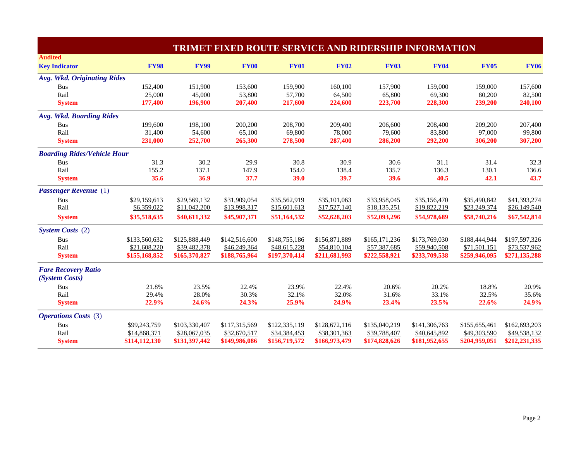| <b>TRIMET FIXED ROUTE SERVICE AND RIDERSHIP INFORMATION</b> |               |               |               |               |               |               |               |               |               |
|-------------------------------------------------------------|---------------|---------------|---------------|---------------|---------------|---------------|---------------|---------------|---------------|
| <b>Audited</b>                                              |               |               |               |               |               |               |               |               |               |
| <b>Key Indicator</b>                                        | <b>FY98</b>   | <b>FY99</b>   | <b>FY00</b>   | <b>FY01</b>   | <b>FY02</b>   | <b>FY03</b>   | <b>FY04</b>   | <b>FY05</b>   | <b>FY06</b>   |
| <b>Avg. Wkd. Originating Rides</b>                          |               |               |               |               |               |               |               |               |               |
| <b>Bus</b>                                                  | 152,400       | 151,900       | 153,600       | 159,900       | 160,100       | 157,900       | 159,000       | 159,000       | 157,600       |
| Rail                                                        | 25,000        | 45,000        | 53,800        | 57,700        | 64,500        | 65,800        | 69,300        | 80,200        | 82,500        |
| <b>System</b>                                               | 177,400       | 196,900       | 207,400       | 217,600       | 224,600       | 223,700       | 228,300       | 239,200       | 240,100       |
| Avg. Wkd. Boarding Rides                                    |               |               |               |               |               |               |               |               |               |
| Bus                                                         | 199,600       | 198,100       | 200,200       | 208,700       | 209,400       | 206,600       | 208,400       | 209,200       | 207,400       |
| Rail                                                        | 31,400        | 54,600        | 65,100        | 69,800        | 78,000        | 79,600        | 83,800        | 97,000        | 99,800        |
| <b>System</b>                                               | 231,000       | 252,700       | 265,300       | 278,500       | 287,400       | 286,200       | 292,200       | 306,200       | 307,200       |
| <b>Boarding Rides/Vehicle Hour</b>                          |               |               |               |               |               |               |               |               |               |
| <b>Bus</b>                                                  | 31.3          | 30.2          | 29.9          | 30.8          | 30.9          | 30.6          | 31.1          | 31.4          | 32.3          |
| Rail                                                        | 155.2         | 137.1         | 147.9         | 154.0         | 138.4         | 135.7         | 136.3         | 130.1         | 136.6         |
| <b>System</b>                                               | 35.6          | 36.9          | 37.7          | 39.0          | 39.7          | 39.6          | 40.5          | 42.1          | 43.7          |
| <b>Passenger Revenue</b> (1)                                |               |               |               |               |               |               |               |               |               |
| <b>Bus</b>                                                  | \$29,159,613  | \$29,569,132  | \$31,909,054  | \$35,562,919  | \$35,101,063  | \$33,958,045  | \$35,156,470  | \$35,490,842  | \$41,393,274  |
| Rail                                                        | \$6,359,022   | \$11,042,200  | \$13,998,317  | \$15,601,613  | \$17,527,140  | \$18,135,251  | \$19,822,219  | \$23,249,374  | \$26,149,540  |
| <b>System</b>                                               | \$35,518,635  | \$40,611,332  | \$45,907,371  | \$51,164,532  | \$52,628,203  | \$52,093,296  | \$54,978,689  | \$58,740,216  | \$67,542,814  |
| <b>System Costs</b> (2)                                     |               |               |               |               |               |               |               |               |               |
| <b>Bus</b>                                                  | \$133,560,632 | \$125,888,449 | \$142,516,600 | \$148,755,186 | \$156,871,889 | \$165,171,236 | \$173,769,030 | \$188,444,944 | \$197,597,326 |
| Rail                                                        | \$21,608,220  | \$39,482,378  | \$46,249,364  | \$48,615,228  | \$54,810,104  | \$57,387,685  | \$59,940,508  | \$71,501,151  | \$73,537,962  |
| <b>System</b>                                               | \$155,168,852 | \$165,370,827 | \$188,765,964 | \$197,370,414 | \$211,681,993 | \$222,558,921 | \$233,709,538 | \$259,946,095 | \$271,135,288 |
| <b>Fare Recovery Ratio</b>                                  |               |               |               |               |               |               |               |               |               |
| (System Costs)                                              |               |               |               |               |               |               |               |               |               |
| <b>Bus</b>                                                  | 21.8%         | 23.5%         | 22.4%         | 23.9%         | 22.4%         | 20.6%         | 20.2%         | 18.8%         | 20.9%         |
| Rail                                                        | 29.4%         | 28.0%         | 30.3%         | 32.1%         | 32.0%         | 31.6%         | 33.1%         | 32.5%         | 35.6%         |
| <b>System</b>                                               | 22.9%         | 24.6%         | 24.3%         | 25.9%         | 24.9%         | 23.4%         | 23.5%         | 22.6%         | 24.9%         |
| <b>Operations Costs</b> (3)                                 |               |               |               |               |               |               |               |               |               |
| <b>Bus</b>                                                  | \$99,243,759  | \$103,330,407 | \$117,315,569 | \$122,335,119 | \$128,672,116 | \$135,040,219 | \$141,306,763 | \$155,655,461 | \$162,693,203 |
| Rail                                                        | \$14,868,371  | \$28,067,035  | \$32,670,517  | \$34,384,453  | \$38,301,363  | \$39,788,407  | \$40,645,892  | \$49,303,590  | \$49,538,132  |
| <b>System</b>                                               | \$114,112,130 | \$131,397,442 | \$149,986,086 | \$156,719,572 | \$166,973,479 | \$174,828,626 | \$181,952,655 | \$204,959,051 | \$212,231,335 |